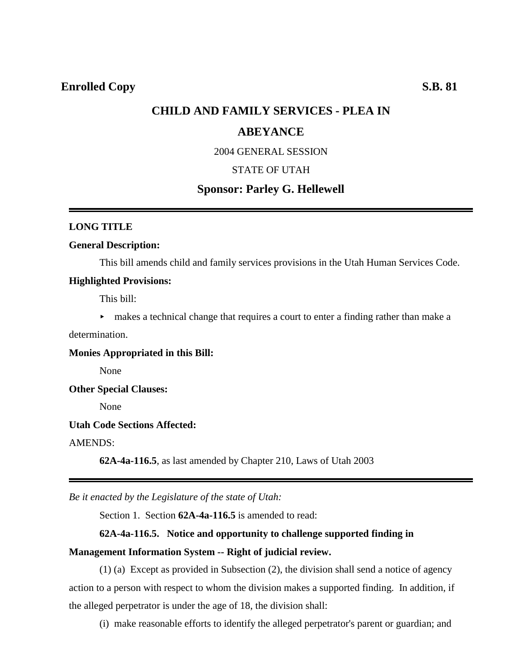## **CHILD AND FAMILY SERVICES - PLEA IN**

## **ABEYANCE**

2004 GENERAL SESSION

## STATE OF UTAH

# **Sponsor: Parley G. Hellewell**

#### **LONG TITLE**

### **General Description:**

This bill amends child and family services provisions in the Utah Human Services Code.

#### **Highlighted Provisions:**

This bill:

 $\blacktriangleright$  makes a technical change that requires a court to enter a finding rather than make a

determination.

**Monies Appropriated in this Bill:**

None

#### **Other Special Clauses:**

None

### **Utah Code Sections Affected:**

AMENDS:

**62A-4a-116.5**, as last amended by Chapter 210, Laws of Utah 2003

*Be it enacted by the Legislature of the state of Utah:*

Section 1. Section **62A-4a-116.5** is amended to read:

#### **62A-4a-116.5. Notice and opportunity to challenge supported finding in**

#### **Management Information System -- Right of judicial review.**

(1) (a) Except as provided in Subsection (2), the division shall send a notice of agency action to a person with respect to whom the division makes a supported finding. In addition, if the alleged perpetrator is under the age of 18, the division shall:

(i) make reasonable efforts to identify the alleged perpetrator's parent or guardian; and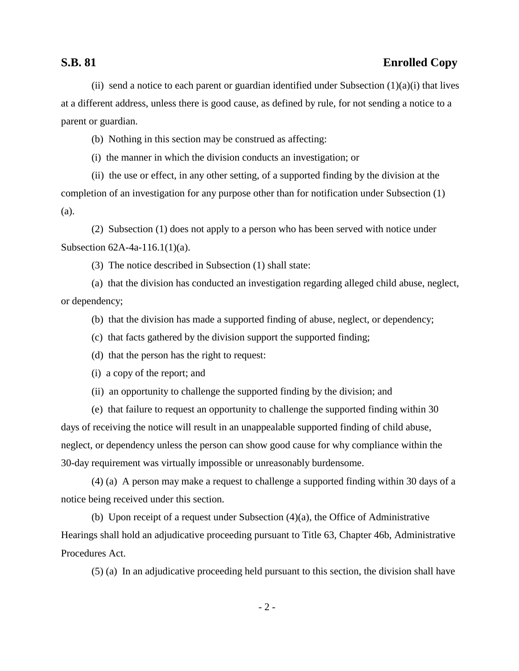# **S.B. 81 Enrolled Copy**

(ii) send a notice to each parent or guardian identified under Subsection  $(1)(a)(i)$  that lives at a different address, unless there is good cause, as defined by rule, for not sending a notice to a parent or guardian.

(b) Nothing in this section may be construed as affecting:

(i) the manner in which the division conducts an investigation; or

(ii) the use or effect, in any other setting, of a supported finding by the division at the completion of an investigation for any purpose other than for notification under Subsection (1) (a).

(2) Subsection (1) does not apply to a person who has been served with notice under Subsection 62A-4a-116.1(1)(a).

(3) The notice described in Subsection (1) shall state:

(a) that the division has conducted an investigation regarding alleged child abuse, neglect, or dependency;

(b) that the division has made a supported finding of abuse, neglect, or dependency;

(c) that facts gathered by the division support the supported finding;

(d) that the person has the right to request:

(i) a copy of the report; and

(ii) an opportunity to challenge the supported finding by the division; and

(e) that failure to request an opportunity to challenge the supported finding within 30 days of receiving the notice will result in an unappealable supported finding of child abuse, neglect, or dependency unless the person can show good cause for why compliance within the 30-day requirement was virtually impossible or unreasonably burdensome.

(4) (a) A person may make a request to challenge a supported finding within 30 days of a notice being received under this section.

(b) Upon receipt of a request under Subsection (4)(a), the Office of Administrative Hearings shall hold an adjudicative proceeding pursuant to Title 63, Chapter 46b, Administrative Procedures Act.

(5) (a) In an adjudicative proceeding held pursuant to this section, the division shall have